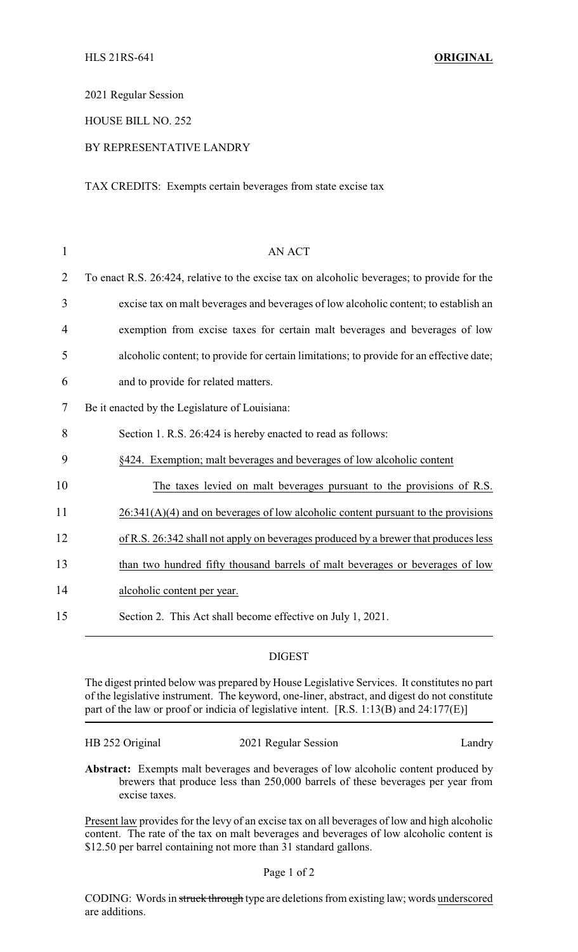2021 Regular Session

HOUSE BILL NO. 252

## BY REPRESENTATIVE LANDRY

TAX CREDITS: Exempts certain beverages from state excise tax

| 1              | <b>AN ACT</b>                                                                               |
|----------------|---------------------------------------------------------------------------------------------|
| $\overline{2}$ | To enact R.S. 26:424, relative to the excise tax on alcoholic beverages; to provide for the |
| 3              | excise tax on malt beverages and beverages of low alcoholic content; to establish an        |
| 4              | exemption from excise taxes for certain malt beverages and beverages of low                 |
| 5              | alcoholic content; to provide for certain limitations; to provide for an effective date;    |
| 6              | and to provide for related matters.                                                         |
| 7              | Be it enacted by the Legislature of Louisiana:                                              |
| 8              | Section 1. R.S. 26:424 is hereby enacted to read as follows:                                |
| 9              | §424. Exemption; malt beverages and beverages of low alcoholic content                      |
| 10             | The taxes levied on malt beverages pursuant to the provisions of R.S.                       |
| 11             | $26:341(A)(4)$ and on beverages of low alcoholic content pursuant to the provisions         |
| 12             | of R.S. 26:342 shall not apply on beverages produced by a brewer that produces less         |
| 13             | than two hundred fifty thousand barrels of malt beverages or beverages of low               |
| 14             | alcoholic content per year.                                                                 |
| 15             | Section 2. This Act shall become effective on July 1, 2021.                                 |

## DIGEST

The digest printed below was prepared by House Legislative Services. It constitutes no part of the legislative instrument. The keyword, one-liner, abstract, and digest do not constitute part of the law or proof or indicia of legislative intent. [R.S. 1:13(B) and 24:177(E)]

|  |  | HB 252 Original |  |
|--|--|-----------------|--|
|--|--|-----------------|--|

2021 Regular Session Landry

**Abstract:** Exempts malt beverages and beverages of low alcoholic content produced by brewers that produce less than 250,000 barrels of these beverages per year from excise taxes.

Present law provides for the levy of an excise tax on all beverages of low and high alcoholic content. The rate of the tax on malt beverages and beverages of low alcoholic content is \$12.50 per barrel containing not more than 31 standard gallons.

CODING: Words in struck through type are deletions from existing law; words underscored are additions.